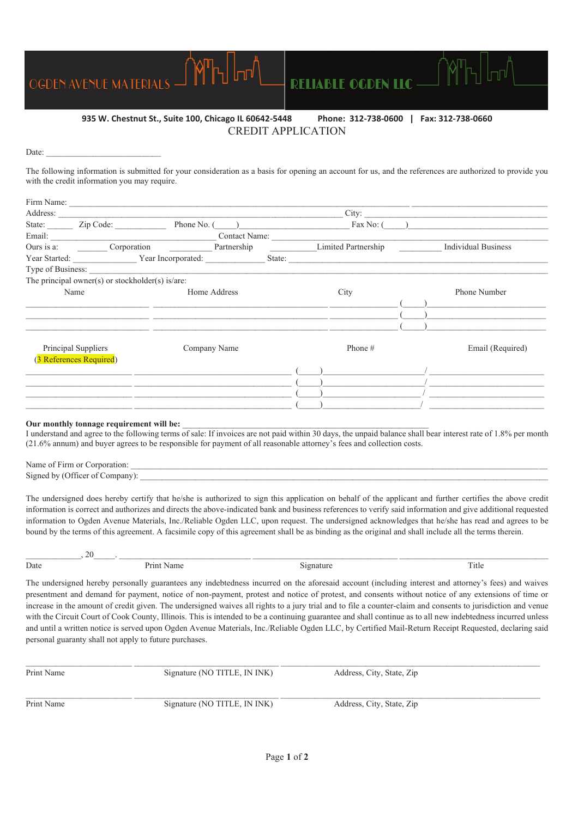

## **935 W. Chestnut St., Suite 100, Chicago IL 60642-5448 Phone: 312-738-0600 | Fax: 312-738-0660**  CREDIT APPLICATION

Date:

The following information is submitted for your consideration as a basis for opening an account for us, and the references are authorized to provide you with the credit information you may require.

|                         |              |                                                                  |                                               |                                                                                                                                                                                                                                | City:                                                                                                                 |                                                                                                                                                                       |  |
|-------------------------|--------------|------------------------------------------------------------------|-----------------------------------------------|--------------------------------------------------------------------------------------------------------------------------------------------------------------------------------------------------------------------------------|-----------------------------------------------------------------------------------------------------------------------|-----------------------------------------------------------------------------------------------------------------------------------------------------------------------|--|
| State: Zip Code:        |              |                                                                  |                                               |                                                                                                                                                                                                                                |                                                                                                                       |                                                                                                                                                                       |  |
|                         |              |                                                                  |                                               |                                                                                                                                                                                                                                |                                                                                                                       |                                                                                                                                                                       |  |
|                         |              |                                                                  |                                               |                                                                                                                                                                                                                                |                                                                                                                       | <b>Individual Business</b>                                                                                                                                            |  |
|                         |              |                                                                  |                                               |                                                                                                                                                                                                                                |                                                                                                                       |                                                                                                                                                                       |  |
|                         |              |                                                                  |                                               |                                                                                                                                                                                                                                |                                                                                                                       |                                                                                                                                                                       |  |
|                         |              |                                                                  |                                               |                                                                                                                                                                                                                                |                                                                                                                       |                                                                                                                                                                       |  |
| Name                    | Home Address |                                                                  |                                               | City                                                                                                                                                                                                                           |                                                                                                                       | <b>Phone Number</b>                                                                                                                                                   |  |
|                         |              |                                                                  |                                               |                                                                                                                                                                                                                                |                                                                                                                       |                                                                                                                                                                       |  |
|                         |              |                                                                  |                                               |                                                                                                                                                                                                                                |                                                                                                                       |                                                                                                                                                                       |  |
|                         |              |                                                                  |                                               |                                                                                                                                                                                                                                |                                                                                                                       |                                                                                                                                                                       |  |
|                         |              |                                                                  |                                               |                                                                                                                                                                                                                                |                                                                                                                       |                                                                                                                                                                       |  |
| Principal Suppliers     |              |                                                                  |                                               | Phone #                                                                                                                                                                                                                        |                                                                                                                       | Email (Required)                                                                                                                                                      |  |
| (3 References Required) |              |                                                                  |                                               |                                                                                                                                                                                                                                |                                                                                                                       |                                                                                                                                                                       |  |
|                         |              |                                                                  |                                               |                                                                                                                                                                                                                                |                                                                                                                       |                                                                                                                                                                       |  |
|                         |              |                                                                  |                                               |                                                                                                                                                                                                                                |                                                                                                                       |                                                                                                                                                                       |  |
|                         |              |                                                                  |                                               |                                                                                                                                                                                                                                |                                                                                                                       |                                                                                                                                                                       |  |
|                         |              |                                                                  |                                               |                                                                                                                                                                                                                                |                                                                                                                       |                                                                                                                                                                       |  |
|                         |              | The principal owner(s) or stockholder(s) is/are:<br>Company Name | <u> 1989 - Andrea Andrew Maria (h. 1989).</u> | Address: No. 1996. The Commission of the Commission of the Commission of the Commission of the Commission of the Commission of the Commission of the Commission of the Commission of the Commission of the Commission of the C | <u> 1989 - Andrea Santa Alemania, amerikana amerikana amerikana amerikana amerikana amerikana amerikana amerikana</u> | Phone No. $\qquad)$ Fax No: $\qquad)$<br>Ours is a: Corporation Compact Corporation Partnership Limited Partnership<br>Year Started: Year Incorporated: State: State: |  |

#### Our monthly tonnage requirement will be:

I understand and agree to the following terms of sale: If invoices are not paid within 30 days, the unpaid balance shall bear interest rate of 1.8% per month (21.6% annum) and buyer agrees to be responsible for payment of all reasonable attorney's fees and collection costs.

Name of Firm or Corporation: Signed by (Officer of Company):

The undersigned does hereby certify that he/she is authorized to sign this application on behalf of the applicant and further certifies the above credit information is correct and authorizes and directs the above-indicated bank and business references to verify said information and give additional requested information to Ogden Avenue Materials, Inc./Reliable Ogden LLC, upon request. The undersigned acknowledges that he/she has read and agrees to be bound by the terms of this agreement. A facsimile copy of this agreement shall be as binding as the original and shall include all the terms therein.

 $\frac{1}{2}$  , 20  $\frac{1}{2}$  , 20  $\frac{1}{2}$  ,  $\frac{1}{2}$  ,  $\frac{1}{2}$  ,  $\frac{1}{2}$  ,  $\frac{1}{2}$  ,  $\frac{1}{2}$  ,  $\frac{1}{2}$  ,  $\frac{1}{2}$  ,  $\frac{1}{2}$  ,  $\frac{1}{2}$  ,  $\frac{1}{2}$  ,  $\frac{1}{2}$  ,  $\frac{1}{2}$  ,  $\frac{1}{2}$  ,  $\frac{1}{2}$  ,  $\frac{1}{2}$  , Date Print Name Signature Title The undersigned hereby personally guarantees any indebtedness incurred on the aforesaid account (including interest and attorney's fees) and waives

presentment and demand for payment, notice of non-payment, protest and notice of protest, and consents without notice of any extensions of time or increase in the amount of credit given. The undersigned waives all rights to a jury trial and to file a counter-claim and consents to jurisdiction and venue with the Circuit Court of Cook County, Illinois. This is intended to be a continuing guarantee and shall continue as to all new indebtedness incurred unless and until a written notice is served upon Ogden Avenue Materials, Inc./Reliable Ogden LLC, by Certified Mail-Return Receipt Requested, declaring said personal guaranty shall not apply to future purchases.

| Print Name | Signature (NO TITLE, IN INK) | Address, City, State, Zip |  |
|------------|------------------------------|---------------------------|--|
| Print Name | Signature (NO TITLE, IN INK) | Address, City, State, Zip |  |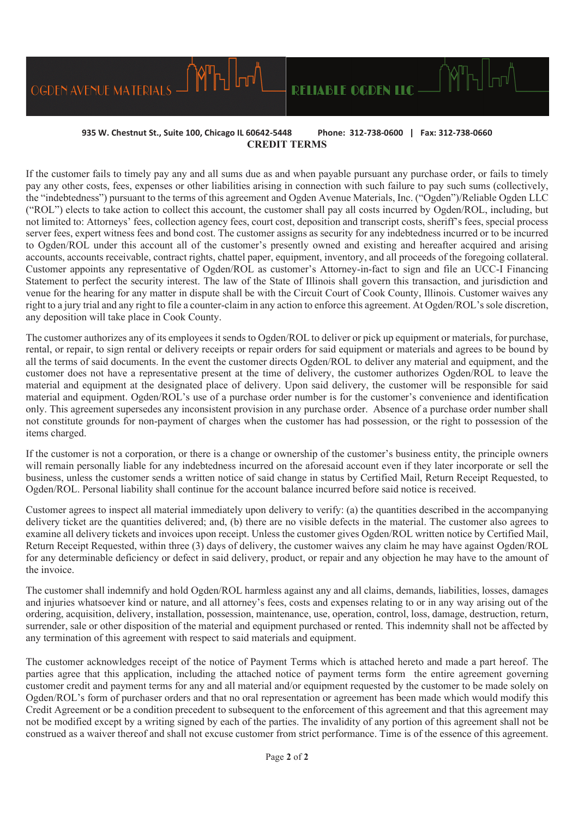## **935 W. Chestnut St., Suite 100, Chicago IL 60642-5448 Phone: 312-738-0600 | Fax: 312-738-0660 CREDIT TERMS**

**RELIABLE OGDEN LLC** —

OGDEN AVENUE MATERIALS

If the customer fails to timely pay any and all sums due as and when payable pursuant any purchase order, or fails to timely pay any other costs, fees, expenses or other liabilities arising in connection with such failure to pay such sums (collectively, the "indebtedness") pursuant to the terms of this agreement and Ogden Avenue Materials, Inc. ("Ogden")/Reliable Ogden LLC ("ROL") elects to take action to collect this account, the customer shall pay all costs incurred by Ogden/ROL, including, but not limited to: Attorneys' fees, collection agency fees, court cost, deposition and transcript costs, sheriff's fees, special process server fees, expert witness fees and bond cost. The customer assigns as security for any indebtedness incurred or to be incurred to Ogden/ROL under this account all of the customer's presently owned and existing and hereafter acquired and arising accounts, accounts receivable, contract rights, chattel paper, equipment, inventory, and all proceeds of the foregoing collateral. Customer appoints any representative of Ogden/ROL as customer's Attorney-in-fact to sign and file an UCC-I Financing Statement to perfect the security interest. The law of the State of Illinois shall govern this transaction, and jurisdiction and venue for the hearing for any matter in dispute shall be with the Circuit Court of Cook County, Illinois. Customer waives any right to a jury trial and any right to file a counter-claim in any action to enforce this agreement. At Ogden/ROL's sole discretion, any deposition will take place in Cook County.

The customer authorizes any of its employees it sends to Ogden/ROL to deliver or pick up equipment or materials, for purchase, rental, or repair, to sign rental or delivery receipts or repair orders for said equipment or materials and agrees to be bound by all the terms of said documents. In the event the customer directs Ogden/ROL to deliver any material and equipment, and the customer does not have a representative present at the time of delivery, the customer authorizes Ogden/ROL to leave the material and equipment at the designated place of delivery. Upon said delivery, the customer will be responsible for said material and equipment. Ogden/ROL's use of a purchase order number is for the customer's convenience and identification only. This agreement supersedes any inconsistent provision in any purchase order. Absence of a purchase order number shall not constitute grounds for non-payment of charges when the customer has had possession, or the right to possession of the items charged.

If the customer is not a corporation, or there is a change or ownership of the customer's business entity, the principle owners will remain personally liable for any indebtedness incurred on the aforesaid account even if they later incorporate or sell the business, unless the customer sends a written notice of said change in status by Certified Mail, Return Receipt Requested, to Ogden/ROL. Personal liability shall continue for the account balance incurred before said notice is received.

Customer agrees to inspect all material immediately upon delivery to verify: (a) the quantities described in the accompanying delivery ticket are the quantities delivered; and, (b) there are no visible defects in the material. The customer also agrees to examine all delivery tickets and invoices upon receipt. Unless the customer gives Ogden/ROL written notice by Certified Mail, Return Receipt Requested, within three (3) days of delivery, the customer waives any claim he may have against Ogden/ROL for any determinable deficiency or defect in said delivery, product, or repair and any objection he may have to the amount of the invoice.

The customer shall indemnify and hold Ogden/ROL harmless against any and all claims, demands, liabilities, losses, damages and injuries whatsoever kind or nature, and all attorney's fees, costs and expenses relating to or in any way arising out of the ordering, acquisition, delivery, installation, possession, maintenance, use, operation, control, loss, damage, destruction, return, surrender, sale or other disposition of the material and equipment purchased or rented. This indemnity shall not be affected by any termination of this agreement with respect to said materials and equipment.

The customer acknowledges receipt of the notice of Payment Terms which is attached hereto and made a part hereof. The parties agree that this application, including the attached notice of payment terms form the entire agreement governing customer credit and payment terms for any and all material and/or equipment requested by the customer to be made solely on Ogden/ROL's form of purchaser orders and that no oral representation or agreement has been made which would modify this Credit Agreement or be a condition precedent to subsequent to the enforcement of this agreement and that this agreement may not be modified except by a writing signed by each of the parties. The invalidity of any portion of this agreement shall not be construed as a waiver thereof and shall not excuse customer from strict performance. Time is of the essence of this agreement.